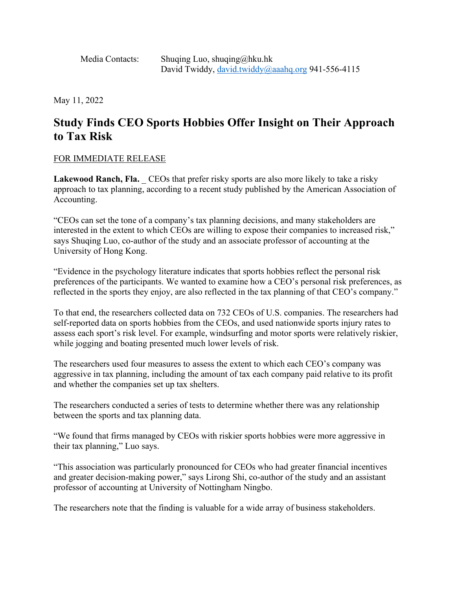Media Contacts: Shuqing Luo, shuqing@hku.hk David Twiddy, [david.twiddy@aaahq.org](mailto:david.twiddy@aaahq.org) 941-556-4115

May 11, 2022

## **Study Finds CEO Sports Hobbies Offer Insight on Their Approach to Tax Risk**

## FOR IMMEDIATE RELEASE

Lakewood Ranch, Fla. CEOs that prefer risky sports are also more likely to take a risky approach to tax planning, according to a recent study published by the American Association of Accounting.

"CEOs can set the tone of a company's tax planning decisions, and many stakeholders are interested in the extent to which CEOs are willing to expose their companies to increased risk," says Shuqing Luo, co-author of the study and an associate professor of accounting at the University of Hong Kong.

"Evidence in the psychology literature indicates that sports hobbies reflect the personal risk preferences of the participants. We wanted to examine how a CEO's personal risk preferences, as reflected in the sports they enjoy, are also reflected in the tax planning of that CEO's company."

To that end, the researchers collected data on 732 CEOs of U.S. companies. The researchers had self-reported data on sports hobbies from the CEOs, and used nationwide sports injury rates to assess each sport's risk level. For example, windsurfing and motor sports were relatively riskier, while jogging and boating presented much lower levels of risk.

The researchers used four measures to assess the extent to which each CEO's company was aggressive in tax planning, including the amount of tax each company paid relative to its profit and whether the companies set up tax shelters.

The researchers conducted a series of tests to determine whether there was any relationship between the sports and tax planning data.

"We found that firms managed by CEOs with riskier sports hobbies were more aggressive in their tax planning," Luo says.

"This association was particularly pronounced for CEOs who had greater financial incentives and greater decision-making power," says Lirong Shi, co-author of the study and an assistant professor of accounting at University of Nottingham Ningbo.

The researchers note that the finding is valuable for a wide array of business stakeholders.